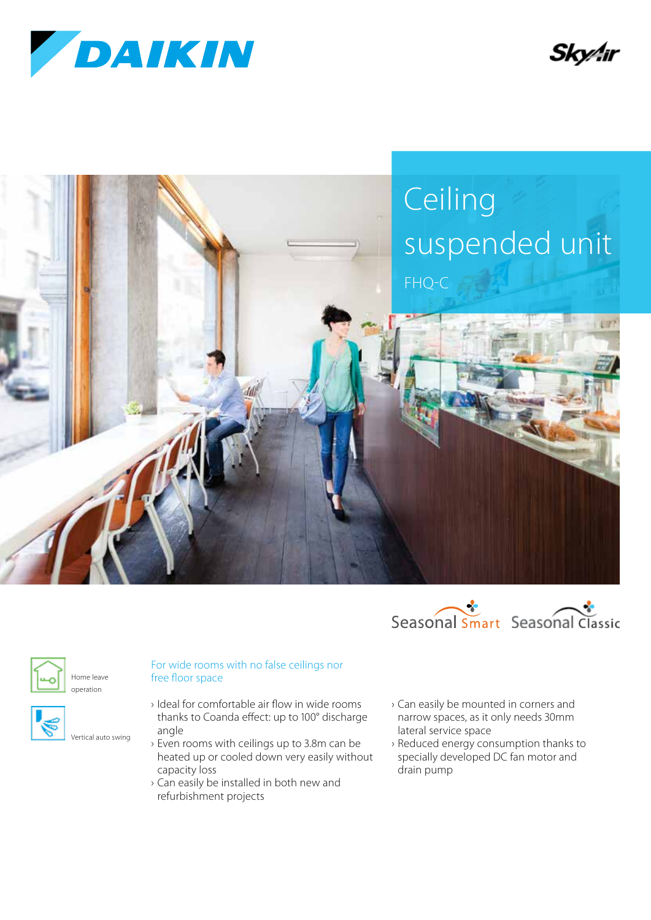

Sky⁄hr





Home leave operation

Vertical auto swing



- › Ideal for comfortable air flow in wide rooms thanks to Coanda effect: up to 100° discharge angle
- › Even rooms with ceilings up to 3.8m can be heated up or cooled down very easily without capacity loss
- › Can easily be installed in both new and refurbishment projects
- › Can easily be mounted in corners and narrow spaces, as it only needs 30mm lateral service space
- › Reduced energy consumption thanks to specially developed DC fan motor and drain pump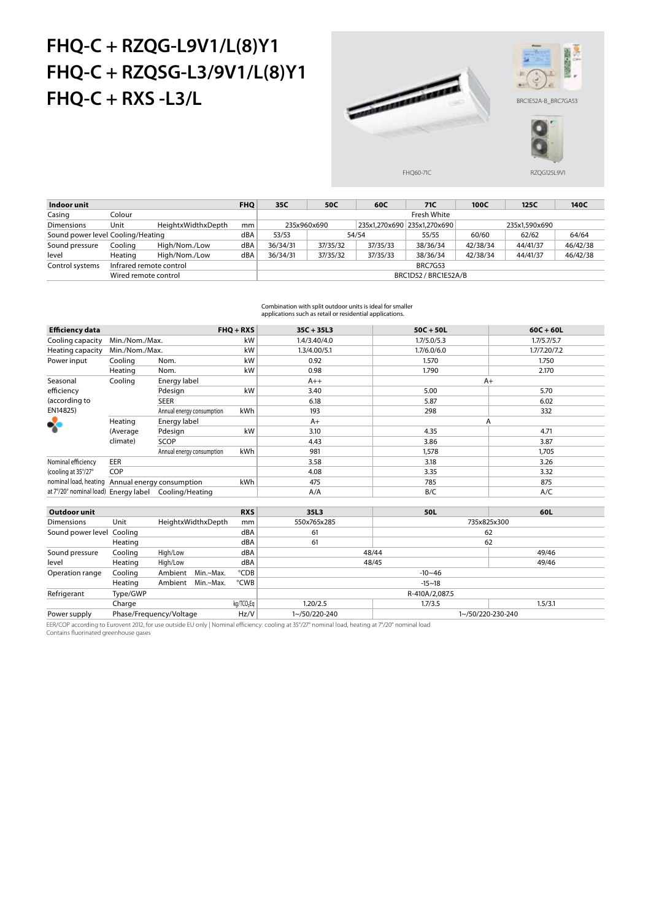## **FHQ-C + RZQG-L9V1/L(8)Y1 FHQ-C + RZQSG-L3/9V1/L(8)Y1 FHQ-C + RXS -L3/L**



| Indoor unit                       |                         |                    | <b>FHQ</b> | 35C                  | 50C         | 60C      | 71C                         | 100C          | 125C     | 140C     |  |  |
|-----------------------------------|-------------------------|--------------------|------------|----------------------|-------------|----------|-----------------------------|---------------|----------|----------|--|--|
| Casing                            | Colour                  |                    |            | Fresh White          |             |          |                             |               |          |          |  |  |
| <b>Dimensions</b>                 | Unit                    | HeightxWidthxDepth | mm         |                      | 235x960x690 |          | 235x1,270x690 235x1,270x690 | 235x1.590x690 |          |          |  |  |
| Sound power level Cooling/Heating |                         |                    | dBA        | 53/53                |             | 54/54    | 62/62<br>55/55<br>60/60     |               |          | 64/64    |  |  |
| Sound pressure                    | Cooling                 | High/Nom./Low      | dBA        | 36/34/31             | 37/35/32    | 37/35/33 | 38/36/34                    | 42/38/34      | 44/41/37 | 46/42/38 |  |  |
| level                             | Heating                 | High/Nom./Low      | dBA        | 36/34/31             | 37/35/32    | 37/35/33 | 38/36/34                    | 42/38/34      | 44/41/37 | 46/42/38 |  |  |
| Control systems                   | Infrared remote control |                    |            | <b>BRC7G53</b>       |             |          |                             |               |          |          |  |  |
|                                   | Wired remote control    |                    |            | BRC1D52 / BRC1E52A/B |             |          |                             |               |          |          |  |  |

Combination with split outdoor units is ideal for smaller applications such as retail or residential applications.

| <b>Efficiency data</b>               |                           |                           |                    | $FHQ + RXS$            | $35C + 35L3$  | $50C + 50L$       | $60C + 60L$  |  |
|--------------------------------------|---------------------------|---------------------------|--------------------|------------------------|---------------|-------------------|--------------|--|
| Cooling capacity                     | Min./Nom./Max.            |                           |                    | kW                     | 1.4/3.40/4.0  | 1.7/5.0/5.3       | 1.7/5.7/5.7  |  |
| Heating capacity                     | Min./Nom./Max.            |                           |                    | kW                     | 1.3/4.00/5.1  | 1.7/6.0/6.0       | 1.7/7.20/7.2 |  |
| Power input                          | Cooling                   | Nom.                      |                    | kW                     | 0.92          | 1.570             | 1.750        |  |
|                                      | Heating                   | Nom.                      |                    | kW                     | 0.98          | 1.790             | 2.170        |  |
| Seasonal                             | Cooling                   | Energy label              |                    |                        | $A++$         | $A+$              |              |  |
| efficiency                           |                           | Pdesign                   |                    | kW                     | 3.40          | 5.00              | 5.70         |  |
| (according to                        |                           | <b>SEER</b>               |                    |                        | 6.18          | 5.87              | 6.02         |  |
| EN14825)                             |                           | Annual energy consumption |                    | kWh                    | 193           | 298               | 332          |  |
|                                      | Heating                   | Energy label              |                    |                        | $A+$          | А                 |              |  |
|                                      | (Average                  | Pdesign                   |                    | kW                     | 3.10          | 4.35              | 4.71         |  |
|                                      | climate)                  | SCOP                      |                    |                        | 4.43          | 3.86              | 3.87         |  |
|                                      |                           | Annual energy consumption |                    | kWh                    | 981           | 1,578             | 1,705        |  |
| Nominal efficiency                   | EER                       |                           |                    |                        | 3.58          | 3.18              | 3.26         |  |
| (cooling at 35°/27°                  | COP                       |                           |                    |                        | 4.08          | 3.35              | 3.32         |  |
| nominal load, heating                | Annual energy consumption |                           |                    | kWh                    | 475           | 785               | 875          |  |
| at 7°/20° nominal load) Energy label |                           | Cooling/Heating           |                    |                        | A/A           | B/C               | A/C          |  |
|                                      |                           |                           |                    |                        |               |                   |              |  |
| Outdoor unit                         |                           |                           |                    | <b>RXS</b>             | 35L3          | 50L               | 60L          |  |
| <b>Dimensions</b>                    | Unit                      |                           | HeightxWidthxDepth | mm                     | 550x765x285   | 735x825x300       |              |  |
| Sound power level Cooling            |                           |                           |                    | dBA                    | 61            | 62                |              |  |
|                                      | Heating                   |                           |                    | dBA                    | 61            | 62                |              |  |
| Sound pressure                       | Cooling                   | High/Low                  |                    | dBA                    | 48/44         |                   | 49/46        |  |
| level                                | Heating                   | High/Low                  |                    | dBA                    |               | 48/45<br>49/46    |              |  |
| Operation range                      | Cooling                   | Ambient                   | Min.~Max.          | °CDB                   |               | $-10 - 46$        |              |  |
|                                      | Heating                   | Ambient                   | Min.~Max.          | °CWB                   |               | $-15 - 18$        |              |  |
| Refrigerant                          | Type/GWP                  |                           |                    |                        |               | R-410A/2,087.5    |              |  |
|                                      | Charge                    |                           |                    | kg/TCO <sub>2</sub> Eq | 1.20/2.5      | 1.7/3.5           | 1.5/3.1      |  |
| Power supply                         | Phase/Frequency/Voltage   |                           |                    | Hz/V                   | 1~/50/220-240 | 1~/50/220-230-240 |              |  |

EER/COP according to Eurovent 2012, for use outside EU only | Nominal efficiency: cooling at 35°/27° nominal load, heating at 7°/20° nominal load Contains fluorinated greenhouse gases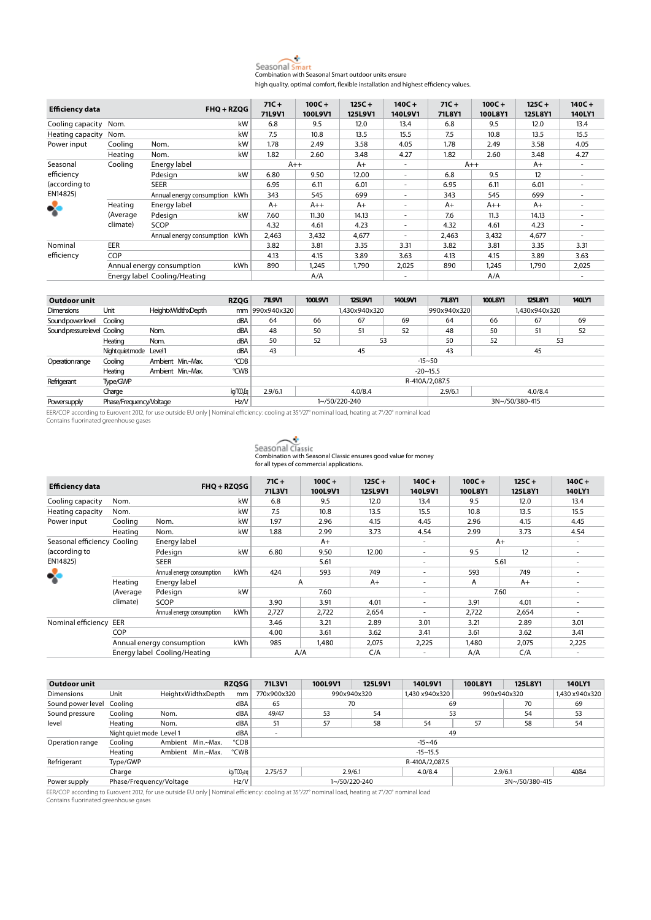

high quality, optimal comfort, flexible installation and highest efficiency values.

| <b>Efficiency data</b> |            |                                         | $FHQ + RZQG$ |        | $100C +$ | $125C +$ | $140C +$ | $71C +$ | $100C +$ | $125C +$ | $140C +$ |
|------------------------|------------|-----------------------------------------|--------------|--------|----------|----------|----------|---------|----------|----------|----------|
|                        |            |                                         |              | 71L9V1 | 100L9V1  | 125L9V1  | 140L9V1  | 71L8Y1  | 100L8Y1  | 125L8Y1  | 140LY1   |
| Cooling capacity Nom.  |            |                                         | kW           | 6.8    | 9.5      | 12.0     | 13.4     | 6.8     | 9.5      | 12.0     | 13.4     |
| Heating capacity       | Nom.       |                                         | kW           | 7.5    | 10.8     | 13.5     | 15.5     | 7.5     | 10.8     | 13.5     | 15.5     |
| Power input            | Cooling    | Nom.                                    | kW           | 1.78   | 2.49     | 3.58     | 4.05     | 1.78    | 2.49     | 3.58     | 4.05     |
|                        | Heating    | Nom.                                    | kW           | 1.82   | 2.60     | 3.48     | 4.27     | 1.82    | 2.60     | 3.48     | 4.27     |
| Seasonal               | Cooling    | Energy label                            |              | $A++$  |          | $A+$     | ٠        | $A++$   |          | $A+$     | ۰        |
| efficiency             |            | Pdesign                                 | kW           | 6.80   | 9.50     | 12.00    | ٠        | 6.8     | 9.5      | 12       | ۰        |
| (according to          |            | <b>SEER</b>                             |              | 6.95   | 6.11     | 6.01     | ۰.       | 6.95    | 6.11     | 6.01     |          |
| EN14825)               |            | Annual energy consumption               | kWh          | 343    | 545      | 699      | ٠        | 343     | 545      | 699      | ۰        |
| ❖                      | Heating    | Energy label                            |              | $A+$   | $A++$    | $A+$     | ۰.       | $A+$    | $A++$    | $A+$     | ۰        |
|                        | (Average   | Pdesign                                 | kW           | 7.60   | 11.30    | 14.13    | ٠        | 7.6     | 11.3     | 14.13    |          |
|                        | climate)   | SCOP                                    |              | 4.32   | 4.61     | 4.23     | ٠        | 4.32    | 4.61     | 4.23     | ۰        |
|                        |            | Annual energy consumption kWh           |              | 2,463  | 3,432    | 4,677    | ٠        | 2,463   | 3,432    | 4,677    | ۰        |
| Nominal                | EER        |                                         |              | 3.82   | 3.81     | 3.35     | 3.31     | 3.82    | 3.81     | 3.35     | 3.31     |
| efficiency             | <b>COP</b> |                                         |              |        | 4.15     | 3.89     | 3.63     | 4.13    | 4.15     | 3.89     | 3.63     |
|                        |            | <b>kWh</b><br>Annual energy consumption |              | 890    | 1.245    | 1.790    | 2,025    | 890     | 1.245    | 1.790    | 2,025    |
|                        |            | Energy label Cooling/Heating            |              |        | A/A      |          | ۰        |         | A/A      |          |          |

| Outdoor unit                 |                         |                    | <b>RZQG</b>            | <b>71L9V1</b>                 | 100L9V1        | <b>125L9V1</b> | <b>140L9V1</b> | <b>71L8Y1</b> | <b>100L8Y1</b> | 125L8Y1       | <b>140LY1</b> |  |
|------------------------------|-------------------------|--------------------|------------------------|-------------------------------|----------------|----------------|----------------|---------------|----------------|---------------|---------------|--|
| <b>Dimensions</b>            | Unit                    | HeightxWidthxDepth |                        | mm   990x940x320              |                | 1.430x940x320  |                | 990x940x320   |                | 1.430x940x320 |               |  |
| Sound power level            | Cooling                 |                    | dBA                    | 64                            | 66             | 67             | 69             | 64            | 66             | 67            | 69            |  |
| Sound pressure level Cooling |                         | Nom.               | dBA                    | 48                            | 50             | 51             | 52             | 48            | 50             | 51            | 52            |  |
|                              | Heating                 | Nom.               | dBA                    | 50                            | 52             | 53             |                | 50            | 52<br>53       |               |               |  |
|                              | Night guiet mode Level1 |                    | dBA                    | 43                            |                | 45             |                | 43            | 45             |               |               |  |
| Operation range              | Cooling                 | Ambient Min.~Max.  | °CDB                   |                               | $-15 - 50$     |                |                |               |                |               |               |  |
|                              | Heating                 | Ambient Min.~Max.  | °CWB                   | $-20 - 15.5$                  |                |                |                |               |                |               |               |  |
| Refrigerant                  | Type/GWP                |                    |                        |                               | R-410A/2.087.5 |                |                |               |                |               |               |  |
|                              | Charge                  |                    | kg/TCO <sub>2</sub> Eq | 2.9/6.1<br>4.0/8.4<br>2.9/6.1 |                |                |                |               | 4.0/8.4        |               |               |  |
| Powersupply                  | Phase/Frequency/Voltage |                    | Hz/V                   |                               |                | 1~/50/220-240  |                |               | 3N~/50/380-415 |               |               |  |

EER/COP according to Eurovent 2012, for use outside EU only | Nominal efficiency: cooling at 35°/27° nominal load, heating at 7°/20° nominal load Contains fluorinated greenhouse gases

| Seasonal Classic                                               |
|----------------------------------------------------------------|
| Combination with Seasonal Classic ensures good value for money |
| for all types of commercial applications.                      |

| <b>Efficiency data</b>      |          | $FHQ + RZQSG$                |                                                                                                                                                        | $71C +$<br>71L3V1 | $100C +$<br>100L9V1      | $125C +$<br>125L9V1 | $140C +$<br>140L9V1      | $100C +$<br>100L8Y1 | $125C +$<br>125L8Y1 | $140C +$<br>140LY1       |
|-----------------------------|----------|------------------------------|--------------------------------------------------------------------------------------------------------------------------------------------------------|-------------------|--------------------------|---------------------|--------------------------|---------------------|---------------------|--------------------------|
| Cooling capacity            | Nom.     |                              | kW                                                                                                                                                     | 6.8               | 9.5                      | 12.0                | 13.4                     | 9.5                 | 12.0                | 13.4                     |
| Heating capacity            | Nom.     |                              | kW                                                                                                                                                     | 7.5               | 10.8                     | 13.5                | 15.5                     | 10.8                | 13.5                | 15.5                     |
| Power input                 | Cooling  | Nom.                         | kW                                                                                                                                                     | 1.97              | 2.96                     | 4.15                | 4.45                     | 2.96                | 4.15                | 4.45                     |
|                             | Heating  | Nom.                         | kW                                                                                                                                                     | 1.88              | 2.99                     | 3.73                | 4.54                     | 2.99                | 3.73                | 4.54                     |
| Seasonal efficiency Cooling |          | Energy label                 |                                                                                                                                                        | $A+$              |                          |                     | $\overline{\phantom{a}}$ | $A+$                |                     | ٠                        |
| (according to               |          | Pdesign                      | kW                                                                                                                                                     | 6.80              | 9.50                     | 12.00               | $\overline{\phantom{a}}$ | 9.5                 | 12                  | $\overline{\phantom{a}}$ |
| EN14825)                    |          | <b>SEER</b>                  |                                                                                                                                                        |                   | 5.61                     |                     | $\overline{\phantom{a}}$ |                     | 5.61                |                          |
| ゃ                           |          | Annual energy consumption    | <b>kWh</b>                                                                                                                                             | 424               | 593                      | 749                 | ۰                        | 593                 | 749                 | $\overline{\phantom{a}}$ |
|                             | Heating  | Energy label                 | A<br>A<br>$A+$<br>$A+$<br>$\overline{\phantom{a}}$<br>kW<br>7.60<br>7.60<br>$\overline{\phantom{a}}$<br>3.90<br>3.91<br>3.91<br>4.01<br>4.01<br>$\sim$ |                   | $\overline{\phantom{a}}$ |                     |                          |                     |                     |                          |
|                             | (Average | Pdesign                      |                                                                                                                                                        |                   |                          |                     |                          |                     |                     | $\overline{\phantom{a}}$ |
|                             | climate) | <b>SCOP</b>                  |                                                                                                                                                        |                   |                          |                     |                          |                     |                     | $\overline{\phantom{a}}$ |
|                             |          | Annual energy consumption    | <b>kWh</b>                                                                                                                                             | 2,727             | 2,722                    | 2,654               |                          | 2,722               | 2,654               | $\sim$                   |
| Nominal efficiency          | EER      |                              |                                                                                                                                                        | 3.46              | 3.21                     | 2.89                | 3.01                     | 3.21                | 2.89                | 3.01                     |
|                             | COP      |                              |                                                                                                                                                        | 4.00              | 3.61                     | 3.62                | 3.41                     | 3.61                | 3.62                | 3.41                     |
|                             |          | Annual energy consumption    | kWh                                                                                                                                                    | 985               | 1,480                    | 2,075               | 2,225                    | 1,480               | 2,075               | 2,225                    |
|                             |          | Energy label Cooling/Heating |                                                                                                                                                        |                   | A/A                      | C/A                 |                          | A/A                 | C/A                 |                          |

| Outdoor unit      |                          |                      | <b>RZQSG</b>           | 71L3V1                   | 100L9V1                       | 125L9V1       | 140L9V1        | 100L8Y1 | 125L8Y1        | 140LY1         |  |
|-------------------|--------------------------|----------------------|------------------------|--------------------------|-------------------------------|---------------|----------------|---------|----------------|----------------|--|
| Dimensions        | Unit                     | HeightxWidthxDepth   | mm                     | 770x900x320              |                               | 990x940x320   | 1.430 x940x320 |         | 990x940x320    | 1.430 x940x320 |  |
| Sound power level | Cooling                  |                      | dBA                    | 65                       |                               | 70            | 69             |         | 70             | 69             |  |
| Sound pressure    | Cooling                  | Nom.                 | dBA                    | 49/47                    | 53                            | 54            | 53             |         | 54             | 53             |  |
| level             | Heating                  | Nom.                 | dBA                    | 51                       | 57                            | 58            | 54             | 57      | 58             | 54             |  |
|                   | Night quiet mode Level 1 |                      | dBA                    | $\overline{\phantom{a}}$ |                               |               |                | 49      |                |                |  |
| Operation range   | Cooling                  | Ambient<br>Min.~Max. | °CDB                   |                          |                               |               | $-15 - 46$     |         |                |                |  |
|                   | Heating                  | Ambient Min.~Max.    | °CWB                   | $-15 - 15.5$             |                               |               |                |         |                |                |  |
| Refrigerant       | Type/GWP                 |                      |                        | R-410A/2.087.5           |                               |               |                |         |                |                |  |
|                   | Charge                   |                      | kg/TCO <sub>2</sub> eg | 2.75/5.7                 | 2.9/6.1<br>2.9/6.1<br>4.0/8.4 |               |                |         | 40/84          |                |  |
| Power supply      | Phase/Frequency/Voltage  |                      | Hz/V                   |                          |                               | 1~/50/220-240 |                |         | 3N~/50/380-415 |                |  |

EER/COP according to Eurovent 2012, for use outside EU only | Nominal efficiency: cooling at 35°/27° nominal load, heating at 7°/20° nominal load Contains fluorinated greenhouse gases